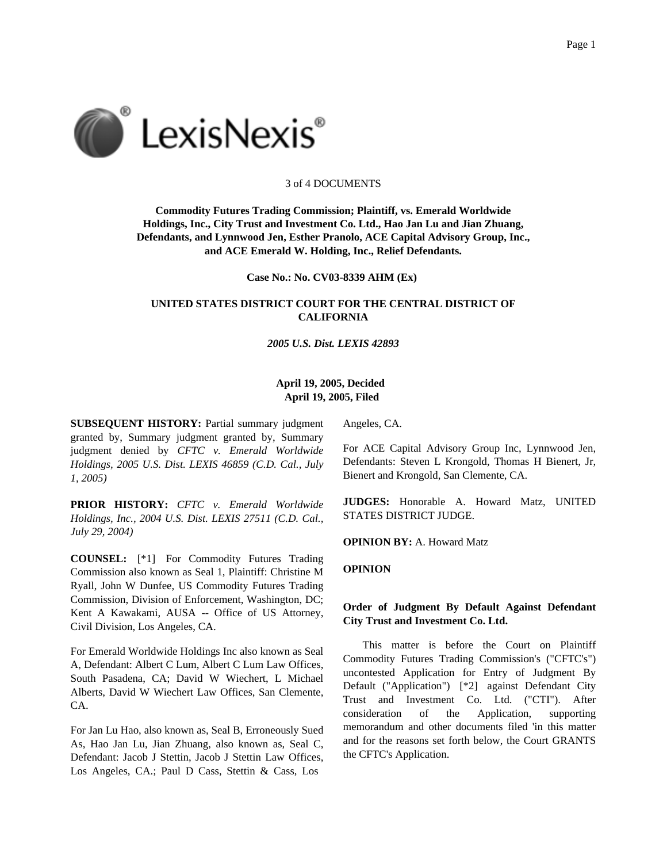

#### 3 of 4 DOCUMENTS

**Commodity Futures Trading Commission; Plaintiff, vs. Emerald Worldwide Holdings, Inc., City Trust and Investment Co. Ltd., Hao Jan Lu and Jian Zhuang, Defendants, and Lynnwood Jen, Esther Pranolo, ACE Capital Advisory Group, Inc., and ACE Emerald W. Holding, Inc., Relief Defendants.**

**Case No.: No. CV03-8339 AHM (Ex)**

# **UNITED STATES DISTRICT COURT FOR THE CENTRAL DISTRICT OF CALIFORNIA**

*2005 U.S. Dist. LEXIS 42893*

### **April 19, 2005, Decided April 19, 2005, Filed**

**SUBSEQUENT HISTORY:** Partial summary judgment granted by, Summary judgment granted by, Summary judgment denied by *CFTC v. Emerald Worldwide Holdings, 2005 U.S. Dist. LEXIS 46859 (C.D. Cal., July 1, 2005)*

**PRIOR HISTORY:** *CFTC v. Emerald Worldwide Holdings, Inc., 2004 U.S. Dist. LEXIS 27511 (C.D. Cal., July 29, 2004)*

**COUNSEL:** [\*1] For Commodity Futures Trading Commission also known as Seal 1, Plaintiff: Christine M Ryall, John W Dunfee, US Commodity Futures Trading Commission, Division of Enforcement, Washington, DC; Kent A Kawakami, AUSA -- Office of US Attorney, Civil Division, Los Angeles, CA.

For Emerald Worldwide Holdings Inc also known as Seal A, Defendant: Albert C Lum, Albert C Lum Law Offices, South Pasadena, CA; David W Wiechert, L Michael Alberts, David W Wiechert Law Offices, San Clemente, CA.

For Jan Lu Hao, also known as, Seal B, Erroneously Sued As, Hao Jan Lu, Jian Zhuang, also known as, Seal C, Defendant: Jacob J Stettin, Jacob J Stettin Law Offices, Los Angeles, CA.; Paul D Cass, Stettin & Cass, Los

Angeles, CA.

For ACE Capital Advisory Group Inc, Lynnwood Jen, Defendants: Steven L Krongold, Thomas H Bienert, Jr, Bienert and Krongold, San Clemente, CA.

**JUDGES:** Honorable A. Howard Matz, UNITED STATES DISTRICT JUDGE.

**OPINION BY:** A. Howard Matz

**OPINION**

# **Order of Judgment By Default Against Defendant City Trust and Investment Co. Ltd.**

This matter is before the Court on Plaintiff Commodity Futures Trading Commission's ("CFTC's") uncontested Application for Entry of Judgment By Default ("Application") [\*2] against Defendant City Trust and Investment Co. Ltd. ("CTI"). After consideration of the Application, supporting memorandum and other documents filed 'in this matter and for the reasons set forth below, the Court GRANTS the CFTC's Application.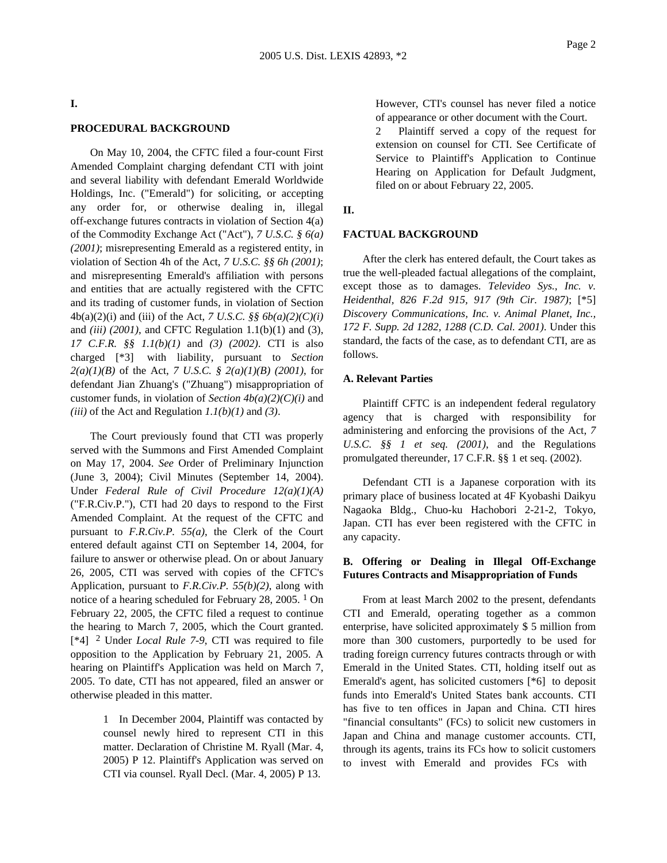### **I.**

# **PROCEDURAL BACKGROUND**

On May 10, 2004, the CFTC filed a four-count First Amended Complaint charging defendant CTI with joint and several liability with defendant Emerald Worldwide Holdings, Inc. ("Emerald") for soliciting, or accepting any order for, or otherwise dealing in, illegal off-exchange futures contracts in violation of Section 4(a) of the Commodity Exchange Act ("Act"), *7 U.S.C. § 6(a) (2001)*; misrepresenting Emerald as a registered entity, in violation of Section 4h of the Act, *7 U.S.C. §§ 6h (2001)*; and misrepresenting Emerald's affiliation with persons and entities that are actually registered with the CFTC and its trading of customer funds, in violation of Section 4b(a)(2)(i) and (iii) of the Act, *7 U.S.C. §§ 6b(a)(2)(C)(i)* and *(iii) (2001)*, and CFTC Regulation 1.1(b)(1) and (3), *17 C.F.R. §§ 1.1(b)(1)* and *(3) (2002)*. CTI is also charged [\*3] with liability, pursuant to *Section 2(a)(1)(B)* of the Act, *7 U.S.C. § 2(a)(1)(B) (2001)*, for defendant Jian Zhuang's ("Zhuang") misappropriation of customer funds, in violation of *Section 4b(a)(2)(C)(i)* and *(iii)* of the Act and Regulation *1.1(b)(1)* and *(3)*.

The Court previously found that CTI was properly served with the Summons and First Amended Complaint on May 17, 2004. *See* Order of Preliminary Injunction (June 3, 2004); Civil Minutes (September 14, 2004). Under *Federal Rule of Civil Procedure 12(a)(1)(A)* ("F.R.Civ.P."), CTI had 20 days to respond to the First Amended Complaint. At the request of the CFTC and pursuant to *F.R.Civ.P. 55(a)*, the Clerk of the Court entered default against CTI on September 14, 2004, for failure to answer or otherwise plead. On or about January 26, 2005, CTI was served with copies of the CFTC's Application, pursuant to *F.R.Civ.P. 55(b)(2)*, along with notice of a hearing scheduled for February 28, 2005. 1 On February 22, 2005, the CFTC filed a request to continue the hearing to March 7, 2005, which the Court granted. [\*4] 2 Under *Local Rule 7-9*, CTI was required to file opposition to the Application by February 21, 2005. A hearing on Plaintiff's Application was held on March 7, 2005. To date, CTI has not appeared, filed an answer or otherwise pleaded in this matter.

> 1 In December 2004, Plaintiff was contacted by counsel newly hired to represent CTI in this matter. Declaration of Christine M. Ryall (Mar. 4, 2005) P 12. Plaintiff's Application was served on CTI via counsel. Ryall Decl. (Mar. 4, 2005) P 13.

However, CTI's counsel has never filed a notice of appearance or other document with the Court.

2 Plaintiff served a copy of the request for extension on counsel for CTI. See Certificate of Service to Plaintiff's Application to Continue Hearing on Application for Default Judgment, filed on or about February 22, 2005.

#### **II.**

### **FACTUAL BACKGROUND**

After the clerk has entered default, the Court takes as true the well-pleaded factual allegations of the complaint, except those as to damages. *Televideo Sys., Inc. v. Heidenthal, 826 F.2d 915, 917 (9th Cir. 1987)*; [\*5] *Discovery Communications, Inc. v. Animal Planet, Inc., 172 F. Supp. 2d 1282, 1288 (C.D. Cal. 2001)*. Under this standard, the facts of the case, as to defendant CTI, are as follows.

#### **A. Relevant Parties**

Plaintiff CFTC is an independent federal regulatory agency that is charged with responsibility for administering and enforcing the provisions of the Act, *7 U.S.C. §§ 1 et seq. (2001)*, and the Regulations promulgated thereunder, 17 C.F.R. §§ 1 et seq. (2002).

Defendant CTI is a Japanese corporation with its primary place of business located at 4F Kyobashi Daikyu Nagaoka Bldg., Chuo-ku Hachobori 2-21-2, Tokyo, Japan. CTI has ever been registered with the CFTC in any capacity.

# **B. Offering or Dealing in Illegal Off-Exchange Futures Contracts and Misappropriation of Funds**

From at least March 2002 to the present, defendants CTI and Emerald, operating together as a common enterprise, have solicited approximately \$ 5 million from more than 300 customers, purportedly to be used for trading foreign currency futures contracts through or with Emerald in the United States. CTI, holding itself out as Emerald's agent, has solicited customers [\*6] to deposit funds into Emerald's United States bank accounts. CTI has five to ten offices in Japan and China. CTI hires "financial consultants" (FCs) to solicit new customers in Japan and China and manage customer accounts. CTI, through its agents, trains its FCs how to solicit customers to invest with Emerald and provides FCs with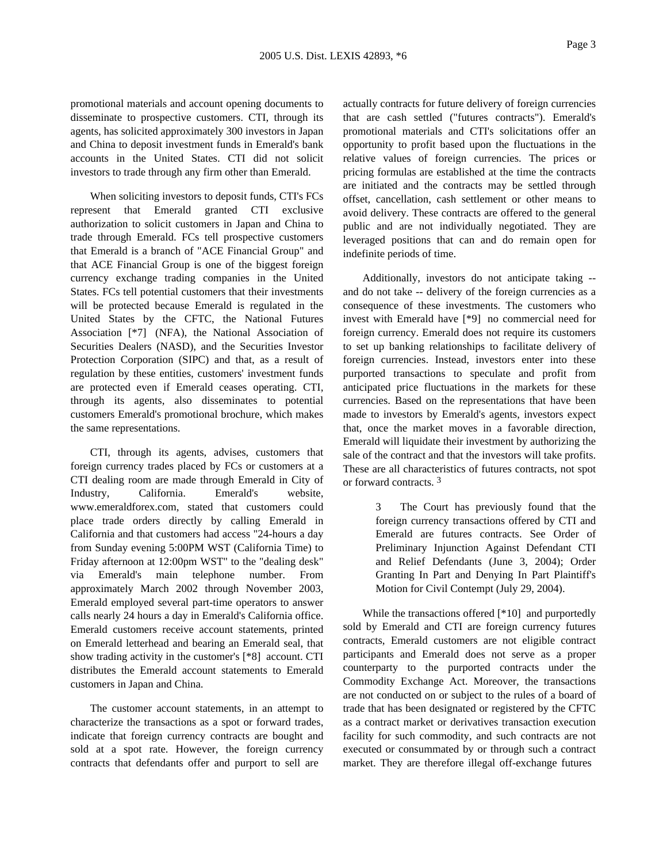promotional materials and account opening documents to disseminate to prospective customers. CTI, through its agents, has solicited approximately 300 investors in Japan and China to deposit investment funds in Emerald's bank accounts in the United States. CTI did not solicit investors to trade through any firm other than Emerald.

When soliciting investors to deposit funds, CTI's FCs represent that Emerald granted CTI exclusive authorization to solicit customers in Japan and China to trade through Emerald. FCs tell prospective customers that Emerald is a branch of "ACE Financial Group" and that ACE Financial Group is one of the biggest foreign currency exchange trading companies in the United States. FCs tell potential customers that their investments will be protected because Emerald is regulated in the United States by the CFTC, the National Futures Association [\*7] (NFA), the National Association of Securities Dealers (NASD), and the Securities Investor Protection Corporation (SIPC) and that, as a result of regulation by these entities, customers' investment funds are protected even if Emerald ceases operating. CTI, through its agents, also disseminates to potential customers Emerald's promotional brochure, which makes the same representations.

CTI, through its agents, advises, customers that foreign currency trades placed by FCs or customers at a CTI dealing room are made through Emerald in City of Industry, California. Emerald's website, www.emeraldforex.com, stated that customers could place trade orders directly by calling Emerald in California and that customers had access "24-hours a day from Sunday evening 5:00PM WST (California Time) to Friday afternoon at 12:00pm WST" to the "dealing desk" via Emerald's main telephone number. From approximately March 2002 through November 2003, Emerald employed several part-time operators to answer calls nearly 24 hours a day in Emerald's California office. Emerald customers receive account statements, printed on Emerald letterhead and bearing an Emerald seal, that show trading activity in the customer's [\*8] account. CTI distributes the Emerald account statements to Emerald customers in Japan and China.

The customer account statements, in an attempt to characterize the transactions as a spot or forward trades, indicate that foreign currency contracts are bought and sold at a spot rate. However, the foreign currency contracts that defendants offer and purport to sell are

actually contracts for future delivery of foreign currencies that are cash settled ("futures contracts"). Emerald's promotional materials and CTI's solicitations offer an opportunity to profit based upon the fluctuations in the relative values of foreign currencies. The prices or pricing formulas are established at the time the contracts are initiated and the contracts may be settled through offset, cancellation, cash settlement or other means to avoid delivery. These contracts are offered to the general public and are not individually negotiated. They are leveraged positions that can and do remain open for indefinite periods of time.

Additionally, investors do not anticipate taking - and do not take -- delivery of the foreign currencies as a consequence of these investments. The customers who invest with Emerald have [\*9] no commercial need for foreign currency. Emerald does not require its customers to set up banking relationships to facilitate delivery of foreign currencies. Instead, investors enter into these purported transactions to speculate and profit from anticipated price fluctuations in the markets for these currencies. Based on the representations that have been made to investors by Emerald's agents, investors expect that, once the market moves in a favorable direction, Emerald will liquidate their investment by authorizing the sale of the contract and that the investors will take profits. These are all characteristics of futures contracts, not spot or forward contracts. 3

> 3 The Court has previously found that the foreign currency transactions offered by CTI and Emerald are futures contracts. See Order of Preliminary Injunction Against Defendant CTI and Relief Defendants (June 3, 2004); Order Granting In Part and Denying In Part Plaintiff's Motion for Civil Contempt (July 29, 2004).

While the transactions offered [\*10] and purportedly sold by Emerald and CTI are foreign currency futures contracts, Emerald customers are not eligible contract participants and Emerald does not serve as a proper counterparty to the purported contracts under the Commodity Exchange Act. Moreover, the transactions are not conducted on or subject to the rules of a board of trade that has been designated or registered by the CFTC as a contract market or derivatives transaction execution facility for such commodity, and such contracts are not executed or consummated by or through such a contract market. They are therefore illegal off-exchange futures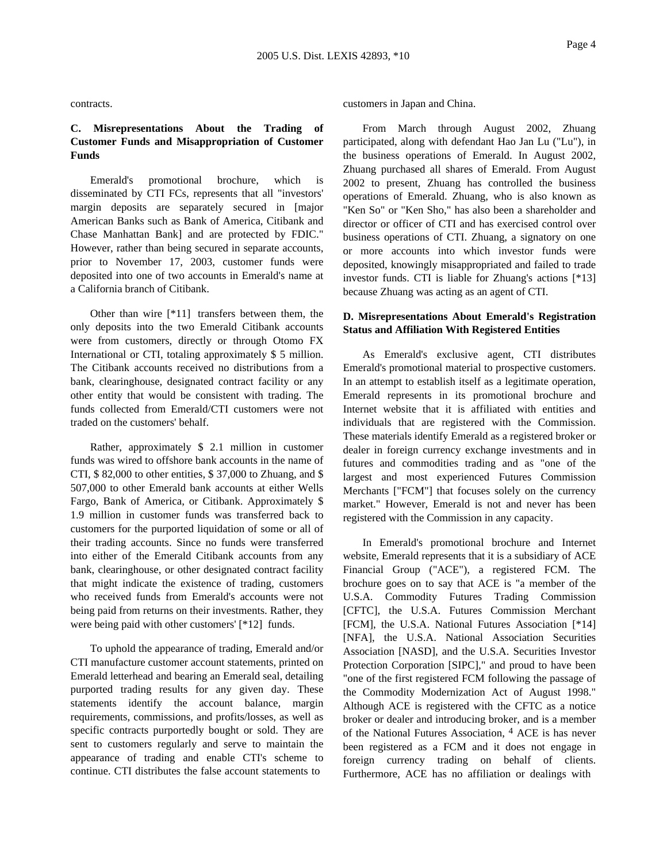contracts.

# **C. Misrepresentations About the Trading of Customer Funds and Misappropriation of Customer Funds**

Emerald's promotional brochure, which is disseminated by CTI FCs, represents that all "investors' margin deposits are separately secured in [major American Banks such as Bank of America, Citibank and Chase Manhattan Bank] and are protected by FDIC." However, rather than being secured in separate accounts, prior to November 17, 2003, customer funds were deposited into one of two accounts in Emerald's name at a California branch of Citibank.

Other than wire [\*11] transfers between them, the only deposits into the two Emerald Citibank accounts were from customers, directly or through Otomo FX International or CTI, totaling approximately \$ 5 million. The Citibank accounts received no distributions from a bank, clearinghouse, designated contract facility or any other entity that would be consistent with trading. The funds collected from Emerald/CTI customers were not traded on the customers' behalf.

Rather, approximately \$ 2.1 million in customer funds was wired to offshore bank accounts in the name of CTI, \$ 82,000 to other entities, \$ 37,000 to Zhuang, and \$ 507,000 to other Emerald bank accounts at either Wells Fargo, Bank of America, or Citibank. Approximately \$ 1.9 million in customer funds was transferred back to customers for the purported liquidation of some or all of their trading accounts. Since no funds were transferred into either of the Emerald Citibank accounts from any bank, clearinghouse, or other designated contract facility that might indicate the existence of trading, customers who received funds from Emerald's accounts were not being paid from returns on their investments. Rather, they were being paid with other customers' [\*12] funds.

To uphold the appearance of trading, Emerald and/or CTI manufacture customer account statements, printed on Emerald letterhead and bearing an Emerald seal, detailing purported trading results for any given day. These statements identify the account balance, margin requirements, commissions, and profits/losses, as well as specific contracts purportedly bought or sold. They are sent to customers regularly and serve to maintain the appearance of trading and enable CTI's scheme to continue. CTI distributes the false account statements to

customers in Japan and China.

From March through August 2002, Zhuang participated, along with defendant Hao Jan Lu ("Lu"), in the business operations of Emerald. In August 2002, Zhuang purchased all shares of Emerald. From August 2002 to present, Zhuang has controlled the business operations of Emerald. Zhuang, who is also known as "Ken So" or "Ken Sho," has also been a shareholder and director or officer of CTI and has exercised control over business operations of CTI. Zhuang, a signatory on one or more accounts into which investor funds were deposited, knowingly misappropriated and failed to trade investor funds. CTI is liable for Zhuang's actions [\*13] because Zhuang was acting as an agent of CTI.

# **D. Misrepresentations About Emerald's Registration Status and Affiliation With Registered Entities**

As Emerald's exclusive agent, CTI distributes Emerald's promotional material to prospective customers. In an attempt to establish itself as a legitimate operation, Emerald represents in its promotional brochure and Internet website that it is affiliated with entities and individuals that are registered with the Commission. These materials identify Emerald as a registered broker or dealer in foreign currency exchange investments and in futures and commodities trading and as "one of the largest and most experienced Futures Commission Merchants ["FCM"] that focuses solely on the currency market." However, Emerald is not and never has been registered with the Commission in any capacity.

In Emerald's promotional brochure and Internet website, Emerald represents that it is a subsidiary of ACE Financial Group ("ACE"), a registered FCM. The brochure goes on to say that ACE is "a member of the U.S.A. Commodity Futures Trading Commission [CFTC], the U.S.A. Futures Commission Merchant [FCM], the U.S.A. National Futures Association [\*14] [NFA], the U.S.A. National Association Securities Association [NASD], and the U.S.A. Securities Investor Protection Corporation [SIPC]," and proud to have been "one of the first registered FCM following the passage of the Commodity Modernization Act of August 1998." Although ACE is registered with the CFTC as a notice broker or dealer and introducing broker, and is a member of the National Futures Association, 4 ACE is has never been registered as a FCM and it does not engage in foreign currency trading on behalf of clients. Furthermore, ACE has no affiliation or dealings with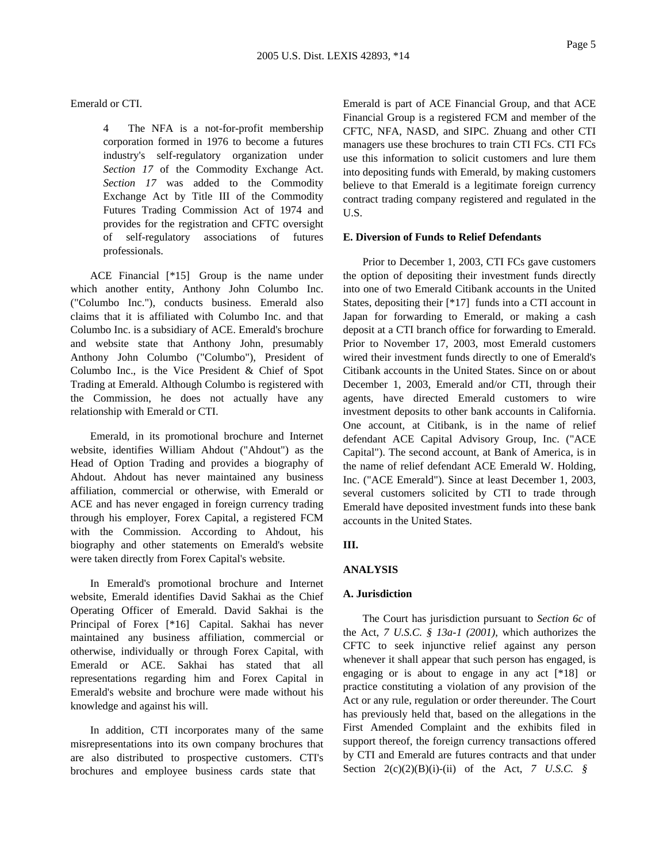Emerald or CTI.

4 The NFA is a not-for-profit membership corporation formed in 1976 to become a futures industry's self-regulatory organization under *Section 17* of the Commodity Exchange Act. *Section 17* was added to the Commodity Exchange Act by Title III of the Commodity Futures Trading Commission Act of 1974 and provides for the registration and CFTC oversight of self-regulatory associations of futures professionals.

ACE Financial [\*15] Group is the name under which another entity, Anthony John Columbo Inc. ("Columbo Inc."), conducts business. Emerald also claims that it is affiliated with Columbo Inc. and that Columbo Inc. is a subsidiary of ACE. Emerald's brochure and website state that Anthony John, presumably Anthony John Columbo ("Columbo"), President of Columbo Inc., is the Vice President & Chief of Spot Trading at Emerald. Although Columbo is registered with the Commission, he does not actually have any relationship with Emerald or CTI.

Emerald, in its promotional brochure and Internet website, identifies William Ahdout ("Ahdout") as the Head of Option Trading and provides a biography of Ahdout. Ahdout has never maintained any business affiliation, commercial or otherwise, with Emerald or ACE and has never engaged in foreign currency trading through his employer, Forex Capital, a registered FCM with the Commission. According to Ahdout, his biography and other statements on Emerald's website were taken directly from Forex Capital's website.

In Emerald's promotional brochure and Internet website, Emerald identifies David Sakhai as the Chief Operating Officer of Emerald. David Sakhai is the Principal of Forex [\*16] Capital. Sakhai has never maintained any business affiliation, commercial or otherwise, individually or through Forex Capital, with Emerald or ACE. Sakhai has stated that all representations regarding him and Forex Capital in Emerald's website and brochure were made without his knowledge and against his will.

In addition, CTI incorporates many of the same misrepresentations into its own company brochures that are also distributed to prospective customers. CTI's brochures and employee business cards state that

Emerald is part of ACE Financial Group, and that ACE Financial Group is a registered FCM and member of the CFTC, NFA, NASD, and SIPC. Zhuang and other CTI managers use these brochures to train CTI FCs. CTI FCs use this information to solicit customers and lure them into depositing funds with Emerald, by making customers believe to that Emerald is a legitimate foreign currency contract trading company registered and regulated in the U.S.

### **E. Diversion of Funds to Relief Defendants**

Prior to December 1, 2003, CTI FCs gave customers the option of depositing their investment funds directly into one of two Emerald Citibank accounts in the United States, depositing their [\*17] funds into a CTI account in Japan for forwarding to Emerald, or making a cash deposit at a CTI branch office for forwarding to Emerald. Prior to November 17, 2003, most Emerald customers wired their investment funds directly to one of Emerald's Citibank accounts in the United States. Since on or about December 1, 2003, Emerald and/or CTI, through their agents, have directed Emerald customers to wire investment deposits to other bank accounts in California. One account, at Citibank, is in the name of relief defendant ACE Capital Advisory Group, Inc. ("ACE Capital"). The second account, at Bank of America, is in the name of relief defendant ACE Emerald W. Holding, Inc. ("ACE Emerald"). Since at least December 1, 2003, several customers solicited by CTI to trade through Emerald have deposited investment funds into these bank accounts in the United States.

#### **III.**

### **ANALYSIS**

#### **A. Jurisdiction**

The Court has jurisdiction pursuant to *Section 6c* of the Act, *7 U.S.C. § 13a-1 (2001)*, which authorizes the CFTC to seek injunctive relief against any person whenever it shall appear that such person has engaged, is engaging or is about to engage in any act [\*18] or practice constituting a violation of any provision of the Act or any rule, regulation or order thereunder. The Court has previously held that, based on the allegations in the First Amended Complaint and the exhibits filed in support thereof, the foreign currency transactions offered by CTI and Emerald are futures contracts and that under Section 2(c)(2)(B)(i)-(ii) of the Act, *7 U.S.C. §*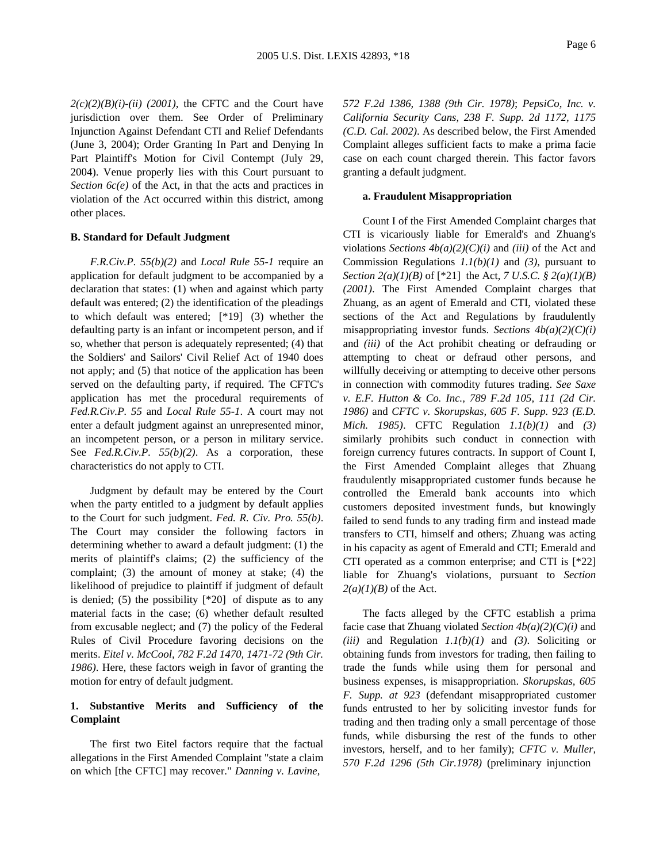$2(c)(2)(B)(i)-(ii)$  (2001), the CFTC and the Court have jurisdiction over them. See Order of Preliminary Injunction Against Defendant CTI and Relief Defendants (June 3, 2004); Order Granting In Part and Denying In Part Plaintiff's Motion for Civil Contempt (July 29, 2004). Venue properly lies with this Court pursuant to *Section 6c(e)* of the Act, in that the acts and practices in violation of the Act occurred within this district, among other places.

#### **B. Standard for Default Judgment**

*F.R.Civ.P. 55(b)(2)* and *Local Rule 55-1* require an application for default judgment to be accompanied by a declaration that states: (1) when and against which party default was entered; (2) the identification of the pleadings to which default was entered; [\*19] (3) whether the defaulting party is an infant or incompetent person, and if so, whether that person is adequately represented; (4) that the Soldiers' and Sailors' Civil Relief Act of 1940 does not apply; and (5) that notice of the application has been served on the defaulting party, if required. The CFTC's application has met the procedural requirements of *Fed.R.Civ.P. 55* and *Local Rule 55-1*. A court may not enter a default judgment against an unrepresented minor, an incompetent person, or a person in military service. See *Fed.R.Civ.P. 55(b)(2)*. As a corporation, these characteristics do not apply to CTI.

Judgment by default may be entered by the Court when the party entitled to a judgment by default applies to the Court for such judgment. *Fed. R. Civ. Pro. 55(b)*. The Court may consider the following factors in determining whether to award a default judgment: (1) the merits of plaintiff's claims; (2) the sufficiency of the complaint; (3) the amount of money at stake; (4) the likelihood of prejudice to plaintiff if judgment of default is denied;  $(5)$  the possibility  $[*20]$  of dispute as to any material facts in the case; (6) whether default resulted from excusable neglect; and (7) the policy of the Federal Rules of Civil Procedure favoring decisions on the merits. *Eitel v. McCool, 782 F.2d 1470, 1471-72 (9th Cir. 1986)*. Here, these factors weigh in favor of granting the motion for entry of default judgment.

# **1. Substantive Merits and Sufficiency of the Complaint**

The first two Eitel factors require that the factual allegations in the First Amended Complaint "state a claim on which [the CFTC] may recover." *Danning v. Lavine,*

*572 F.2d 1386, 1388 (9th Cir. 1978)*; *PepsiCo, Inc. v. California Security Cans, 238 F. Supp. 2d 1172, 1175 (C.D. Cal. 2002)*. As described below, the First Amended Complaint alleges sufficient facts to make a prima facie case on each count charged therein. This factor favors granting a default judgment.

#### **a. Fraudulent Misappropriation**

Count I of the First Amended Complaint charges that CTI is vicariously liable for Emerald's and Zhuang's violations *Sections 4b(a)(2)(C)(i)* and *(iii)* of the Act and Commission Regulations *1.1(b)(1)* and *(3)*, pursuant to *Section 2(a)(1)(B)* of [\*21] the Act, *7 U.S.C. § 2(a)(1)(B) (2001)*. The First Amended Complaint charges that Zhuang, as an agent of Emerald and CTI, violated these sections of the Act and Regulations by fraudulently misappropriating investor funds. *Sections 4b(a)(2)(C)(i)* and *(iii)* of the Act prohibit cheating or defrauding or attempting to cheat or defraud other persons, and willfully deceiving or attempting to deceive other persons in connection with commodity futures trading. *See Saxe v. E.F. Hutton & Co. Inc., 789 F.2d 105, 111 (2d Cir. 1986)* and *CFTC v. Skorupskas, 605 F. Supp. 923 (E.D. Mich. 1985)*. CFTC Regulation *1.1(b)(1)* and *(3)* similarly prohibits such conduct in connection with foreign currency futures contracts. In support of Count I, the First Amended Complaint alleges that Zhuang fraudulently misappropriated customer funds because he controlled the Emerald bank accounts into which customers deposited investment funds, but knowingly failed to send funds to any trading firm and instead made transfers to CTI, himself and others; Zhuang was acting in his capacity as agent of Emerald and CTI; Emerald and CTI operated as a common enterprise; and CTI is [\*22] liable for Zhuang's violations, pursuant to *Section 2(a)(1)(B)* of the Act.

The facts alleged by the CFTC establish a prima facie case that Zhuang violated *Section 4b(a)(2)(C)(i)* and *(iii)* and Regulation *1.1(b)(1)* and *(3)*. Soliciting or obtaining funds from investors for trading, then failing to trade the funds while using them for personal and business expenses, is misappropriation. *Skorupskas, 605 F. Supp. at 923* (defendant misappropriated customer funds entrusted to her by soliciting investor funds for trading and then trading only a small percentage of those funds, while disbursing the rest of the funds to other investors, herself, and to her family); *CFTC v. Muller, 570 F.2d 1296 (5th Cir.1978)* (preliminary injunction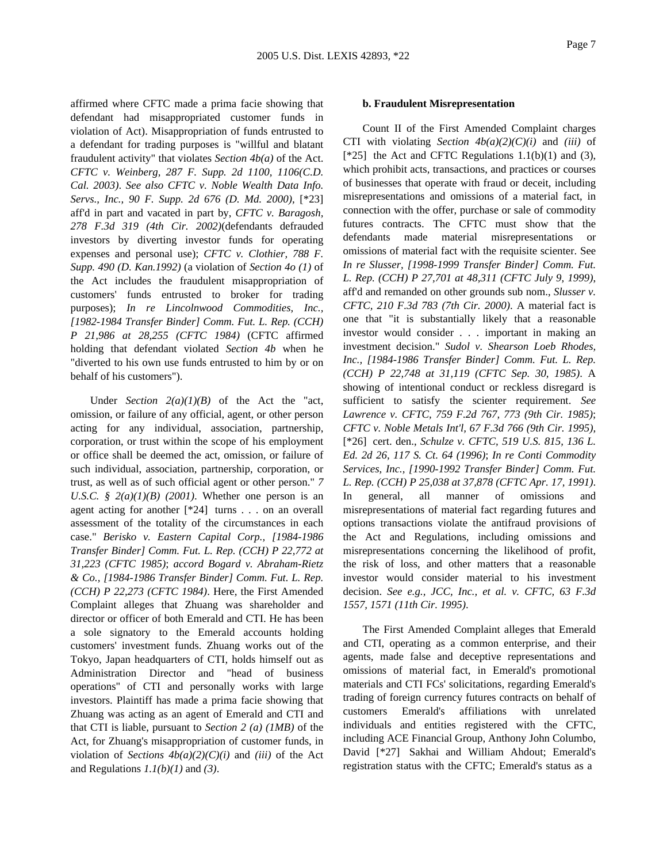affirmed where CFTC made a prima facie showing that defendant had misappropriated customer funds in violation of Act). Misappropriation of funds entrusted to a defendant for trading purposes is "willful and blatant fraudulent activity" that violates *Section 4b(a)* of the Act. *CFTC v. Weinberg, 287 F. Supp. 2d 1100, 1106(C.D. Cal. 2003)*. *See also CFTC v. Noble Wealth Data Info. Servs., Inc., 90 F. Supp. 2d 676 (D. Md. 2000),* [\*23] aff'd in part and vacated in part by, *CFTC v. Baragosh, 278 F.3d 319 (4th Cir. 2002)*(defendants defrauded investors by diverting investor funds for operating expenses and personal use); *CFTC v. Clothier, 788 F. Supp. 490 (D. Kan.1992)* (a violation of *Section 4o (1)* of the Act includes the fraudulent misappropriation of customers' funds entrusted to broker for trading purposes); *In re Lincolnwood Commodities, Inc., [1982-1984 Transfer Binder] Comm. Fut. L. Rep. (CCH) P 21,986 at 28,255 (CFTC 1984)* (CFTC affirmed holding that defendant violated *Section 4b* when he "diverted to his own use funds entrusted to him by or on behalf of his customers").

Under *Section 2(a)(1)(B)* of the Act the "act, omission, or failure of any official, agent, or other person acting for any individual, association, partnership, corporation, or trust within the scope of his employment or office shall be deemed the act, omission, or failure of such individual, association, partnership, corporation, or trust, as well as of such official agent or other person." *7 U.S.C.*  $\frac{8}{3}$  2(a)(1)(B) (2001). Whether one person is an agent acting for another [\*24] turns . . . on an overall assessment of the totality of the circumstances in each case." *Berisko v. Eastern Capital Corp., [1984-1986 Transfer Binder] Comm. Fut. L. Rep. (CCH) P 22,772 at 31,223 (CFTC 1985)*; *accord Bogard v. Abraham-Rietz & Co., [1984-1986 Transfer Binder] Comm. Fut. L. Rep. (CCH) P 22,273 (CFTC 1984)*. Here, the First Amended Complaint alleges that Zhuang was shareholder and director or officer of both Emerald and CTI. He has been a sole signatory to the Emerald accounts holding customers' investment funds. Zhuang works out of the Tokyo, Japan headquarters of CTI, holds himself out as Administration Director and "head of business operations" of CTI and personally works with large investors. Plaintiff has made a prima facie showing that Zhuang was acting as an agent of Emerald and CTI and that CTI is liable, pursuant to *Section 2 (a) (1MB)* of the Act, for Zhuang's misappropriation of customer funds, in violation of *Sections 4b(a)(2)(C)(i)* and *(iii)* of the Act and Regulations *1.1(b)(1)* and *(3)*.

#### **b. Fraudulent Misrepresentation**

Count II of the First Amended Complaint charges CTI with violating *Section 4b(a)(2)(C)(i)* and *(iii)* of [ $*25$ ] the Act and CFTC Regulations 1.1(b)(1) and (3), which prohibit acts, transactions, and practices or courses of businesses that operate with fraud or deceit, including misrepresentations and omissions of a material fact, in connection with the offer, purchase or sale of commodity futures contracts. The CFTC must show that the defendants made material misrepresentations or omissions of material fact with the requisite scienter. See *In re Slusser, [1998-1999 Transfer Binder] Comm. Fut. L. Rep. (CCH) P 27,701 at 48,311 (CFTC July 9, 1999)*, aff'd and remanded on other grounds sub nom., *Slusser v. CFTC, 210 F.3d 783 (7th Cir. 2000)*. A material fact is one that "it is substantially likely that a reasonable investor would consider . . . important in making an investment decision." *Sudol v. Shearson Loeb Rhodes, Inc., [1984-1986 Transfer Binder] Comm. Fut. L. Rep. (CCH) P 22,748 at 31,119 (CFTC Sep. 30, 1985)*. A showing of intentional conduct or reckless disregard is sufficient to satisfy the scienter requirement. *See Lawrence v. CFTC, 759 F.2d 767, 773 (9th Cir. 1985)*; *CFTC v. Noble Metals Int'l, 67 F.3d 766 (9th Cir. 1995),* [\*26] cert. den., *Schulze v. CFTC, 519 U.S. 815, 136 L. Ed. 2d 26, 117 S. Ct. 64 (1996)*; *In re Conti Commodity Services, Inc., [1990-1992 Transfer Binder] Comm. Fut. L. Rep. (CCH) P 25,038 at 37,878 (CFTC Apr. 17, 1991)*. In general, all manner of omissions and misrepresentations of material fact regarding futures and options transactions violate the antifraud provisions of the Act and Regulations, including omissions and misrepresentations concerning the likelihood of profit, the risk of loss, and other matters that a reasonable investor would consider material to his investment decision. *See e.g., JCC, Inc., et al. v. CFTC, 63 F.3d 1557, 1571 (11th Cir. 1995)*.

The First Amended Complaint alleges that Emerald and CTI, operating as a common enterprise, and their agents, made false and deceptive representations and omissions of material fact, in Emerald's promotional materials and CTI FCs' solicitations, regarding Emerald's trading of foreign currency futures contracts on behalf of customers Emerald's affiliations with unrelated individuals and entities registered with the CFTC, including ACE Financial Group, Anthony John Columbo, David [\*27] Sakhai and William Ahdout; Emerald's registration status with the CFTC; Emerald's status as a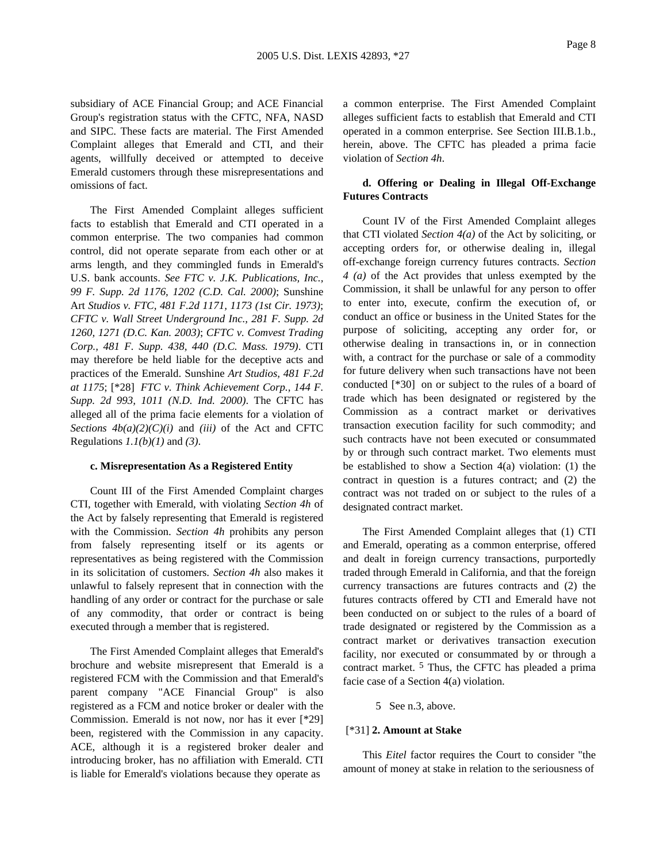subsidiary of ACE Financial Group; and ACE Financial Group's registration status with the CFTC, NFA, NASD and SIPC. These facts are material. The First Amended Complaint alleges that Emerald and CTI, and their agents, willfully deceived or attempted to deceive Emerald customers through these misrepresentations and omissions of fact.

The First Amended Complaint alleges sufficient facts to establish that Emerald and CTI operated in a common enterprise. The two companies had common control, did not operate separate from each other or at arms length, and they commingled funds in Emerald's U.S. bank accounts. *See FTC v. J.K. Publications, Inc., 99 F. Supp. 2d 1176, 1202 (C.D. Cal. 2000)*; Sunshine Art *Studios v. FTC, 481 F.2d 1171, 1173 (1st Cir. 1973)*; *CFTC v. Wall Street Underground Inc., 281 F. Supp. 2d 1260, 1271 (D.C. Kan. 2003)*; *CFTC v. Comvest Trading Corp., 481 F. Supp. 438, 440 (D.C. Mass. 1979)*. CTI may therefore be held liable for the deceptive acts and practices of the Emerald. Sunshine *Art Studios, 481 F.2d at 1175*; [\*28] *FTC v. Think Achievement Corp., 144 F. Supp. 2d 993, 1011 (N.D. Ind. 2000)*. The CFTC has alleged all of the prima facie elements for a violation of *Sections 4b(a)(2)(C)(i)* and *(iii)* of the Act and CFTC Regulations *1.1(b)(1)* and *(3)*.

#### **c. Misrepresentation As a Registered Entity**

Count III of the First Amended Complaint charges CTI, together with Emerald, with violating *Section 4h* of the Act by falsely representing that Emerald is registered with the Commission. *Section 4h* prohibits any person from falsely representing itself or its agents or representatives as being registered with the Commission in its solicitation of customers. *Section 4h* also makes it unlawful to falsely represent that in connection with the handling of any order or contract for the purchase or sale of any commodity, that order or contract is being executed through a member that is registered.

The First Amended Complaint alleges that Emerald's brochure and website misrepresent that Emerald is a registered FCM with the Commission and that Emerald's parent company "ACE Financial Group" is also registered as a FCM and notice broker or dealer with the Commission. Emerald is not now, nor has it ever [\*29] been, registered with the Commission in any capacity. ACE, although it is a registered broker dealer and introducing broker, has no affiliation with Emerald. CTI is liable for Emerald's violations because they operate as

a common enterprise. The First Amended Complaint alleges sufficient facts to establish that Emerald and CTI operated in a common enterprise. See Section III.B.1.b., herein, above. The CFTC has pleaded a prima facie violation of *Section 4h*.

### **d. Offering or Dealing in Illegal Off-Exchange Futures Contracts**

Count IV of the First Amended Complaint alleges that CTI violated *Section 4(a)* of the Act by soliciting, or accepting orders for, or otherwise dealing in, illegal off-exchange foreign currency futures contracts. *Section 4 (a)* of the Act provides that unless exempted by the Commission, it shall be unlawful for any person to offer to enter into, execute, confirm the execution of, or conduct an office or business in the United States for the purpose of soliciting, accepting any order for, or otherwise dealing in transactions in, or in connection with, a contract for the purchase or sale of a commodity for future delivery when such transactions have not been conducted [\*30] on or subject to the rules of a board of trade which has been designated or registered by the Commission as a contract market or derivatives transaction execution facility for such commodity; and such contracts have not been executed or consummated by or through such contract market. Two elements must be established to show a Section 4(a) violation: (1) the contract in question is a futures contract; and (2) the contract was not traded on or subject to the rules of a designated contract market.

The First Amended Complaint alleges that (1) CTI and Emerald, operating as a common enterprise, offered and dealt in foreign currency transactions, purportedly traded through Emerald in California, and that the foreign currency transactions are futures contracts and (2) the futures contracts offered by CTI and Emerald have not been conducted on or subject to the rules of a board of trade designated or registered by the Commission as a contract market or derivatives transaction execution facility, nor executed or consummated by or through a contract market. 5 Thus, the CFTC has pleaded a prima facie case of a Section 4(a) violation.

#### 5 See n.3, above.

#### [\*31] **2. Amount at Stake**

This *Eitel* factor requires the Court to consider "the amount of money at stake in relation to the seriousness of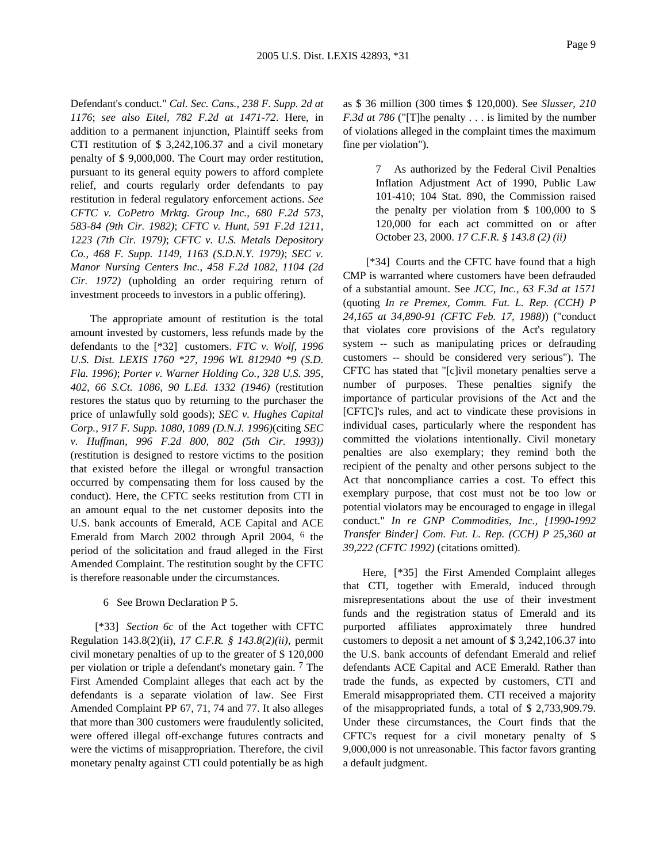Defendant's conduct." *Cal. Sec. Cans., 238 F. Supp. 2d at 1176*; *see also Eitel, 782 F.2d at 1471-72*. Here, in addition to a permanent injunction, Plaintiff seeks from CTI restitution of \$ 3,242,106.37 and a civil monetary penalty of \$ 9,000,000. The Court may order restitution, pursuant to its general equity powers to afford complete relief, and courts regularly order defendants to pay restitution in federal regulatory enforcement actions. *See CFTC v. CoPetro Mrktg. Group Inc., 680 F.2d 573, 583-84 (9th Cir. 1982)*; *CFTC v. Hunt, 591 F.2d 1211, 1223 (7th Cir. 1979)*; *CFTC v. U.S. Metals Depository Co., 468 F. Supp. 1149, 1163 (S.D.N.Y. 1979)*; *SEC v. Manor Nursing Centers Inc., 458 F.2d 1082, 1104 (2d Cir. 1972)* (upholding an order requiring return of investment proceeds to investors in a public offering).

The appropriate amount of restitution is the total amount invested by customers, less refunds made by the defendants to the [\*32] customers. *FTC v. Wolf, 1996 U.S. Dist. LEXIS 1760 \*27, 1996 WL 812940 \*9 (S.D. Fla. 1996)*; *Porter v. Warner Holding Co., 328 U.S. 395, 402, 66 S.Ct. 1086, 90 L.Ed. 1332 (1946)* (restitution restores the status quo by returning to the purchaser the price of unlawfully sold goods); *SEC v. Hughes Capital Corp., 917 F. Supp. 1080, 1089 (D.N.J. 1996)*(citing *SEC v. Huffman, 996 F.2d 800, 802 (5th Cir. 1993))* (restitution is designed to restore victims to the position that existed before the illegal or wrongful transaction occurred by compensating them for loss caused by the conduct). Here, the CFTC seeks restitution from CTI in an amount equal to the net customer deposits into the U.S. bank accounts of Emerald, ACE Capital and ACE Emerald from March 2002 through April 2004, 6 the period of the solicitation and fraud alleged in the First Amended Complaint. The restitution sought by the CFTC is therefore reasonable under the circumstances.

### 6 See Brown Declaration P 5.

[\*33] *Section 6c* of the Act together with CFTC Regulation 143.8(2)(ii), *17 C.F.R. § 143.8(2)(ii)*, permit civil monetary penalties of up to the greater of \$ 120,000 per violation or triple a defendant's monetary gain. 7 The First Amended Complaint alleges that each act by the defendants is a separate violation of law. See First Amended Complaint PP 67, 71, 74 and 77. It also alleges that more than 300 customers were fraudulently solicited, were offered illegal off-exchange futures contracts and were the victims of misappropriation. Therefore, the civil monetary penalty against CTI could potentially be as high as \$ 36 million (300 times \$ 120,000). See *Slusser, 210 F.3d at 786* ("[T]he penalty . . . is limited by the number of violations alleged in the complaint times the maximum fine per violation").

> 7 As authorized by the Federal Civil Penalties Inflation Adjustment Act of 1990, Public Law 101-410; 104 Stat. 890, the Commission raised the penalty per violation from \$ 100,000 to \$ 120,000 for each act committed on or after October 23, 2000. *17 C.F.R. § 143.8 (2) (ii)*

[\*34] Courts and the CFTC have found that a high CMP is warranted where customers have been defrauded of a substantial amount. See *JCC, Inc., 63 F.3d at 1571* (quoting *In re Premex, Comm. Fut. L. Rep. (CCH) P 24,165 at 34,890-91 (CFTC Feb. 17, 1988)*) ("conduct that violates core provisions of the Act's regulatory system -- such as manipulating prices or defrauding customers -- should be considered very serious"). The CFTC has stated that "[c]ivil monetary penalties serve a number of purposes. These penalties signify the importance of particular provisions of the Act and the [CFTC]'s rules, and act to vindicate these provisions in individual cases, particularly where the respondent has committed the violations intentionally. Civil monetary penalties are also exemplary; they remind both the recipient of the penalty and other persons subject to the Act that noncompliance carries a cost. To effect this exemplary purpose, that cost must not be too low or potential violators may be encouraged to engage in illegal conduct." *In re GNP Commodities, Inc., [1990-1992 Transfer Binder] Com. Fut. L. Rep. (CCH) P 25,360 at 39,222 (CFTC 1992)* (citations omitted).

Here, [\*35] the First Amended Complaint alleges that CTI, together with Emerald, induced through misrepresentations about the use of their investment funds and the registration status of Emerald and its purported affiliates approximately three hundred customers to deposit a net amount of \$ 3,242,106.37 into the U.S. bank accounts of defendant Emerald and relief defendants ACE Capital and ACE Emerald. Rather than trade the funds, as expected by customers, CTI and Emerald misappropriated them. CTI received a majority of the misappropriated funds, a total of \$ 2,733,909.79. Under these circumstances, the Court finds that the CFTC's request for a civil monetary penalty of \$ 9,000,000 is not unreasonable. This factor favors granting a default judgment.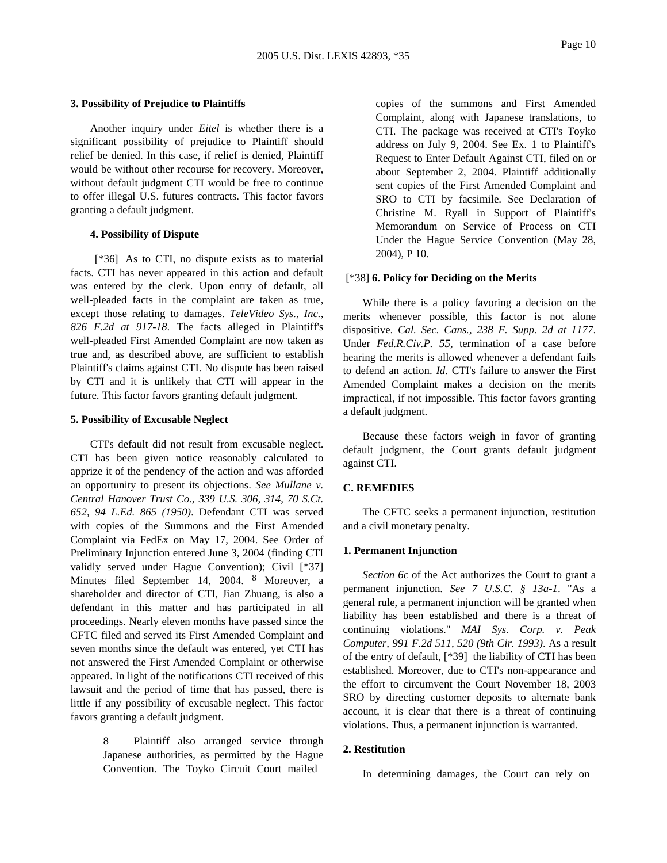### **3. Possibility of Prejudice to Plaintiffs**

Another inquiry under *Eitel* is whether there is a significant possibility of prejudice to Plaintiff should relief be denied. In this case, if relief is denied, Plaintiff would be without other recourse for recovery. Moreover, without default judgment CTI would be free to continue to offer illegal U.S. futures contracts. This factor favors granting a default judgment.

### **4. Possibility of Dispute**

[\*36] As to CTI, no dispute exists as to material facts. CTI has never appeared in this action and default was entered by the clerk. Upon entry of default, all well-pleaded facts in the complaint are taken as true, except those relating to damages. *TeleVideo Sys., Inc., 826 F.2d at 917-18*. The facts alleged in Plaintiff's well-pleaded First Amended Complaint are now taken as true and, as described above, are sufficient to establish Plaintiff's claims against CTI. No dispute has been raised by CTI and it is unlikely that CTI will appear in the future. This factor favors granting default judgment.

#### **5. Possibility of Excusable Neglect**

CTI's default did not result from excusable neglect. CTI has been given notice reasonably calculated to apprize it of the pendency of the action and was afforded an opportunity to present its objections. *See Mullane v. Central Hanover Trust Co., 339 U.S. 306, 314, 70 S.Ct. 652, 94 L.Ed. 865 (1950)*. Defendant CTI was served with copies of the Summons and the First Amended Complaint via FedEx on May 17, 2004. See Order of Preliminary Injunction entered June 3, 2004 (finding CTI validly served under Hague Convention); Civil [\*37] Minutes filed September 14, 2004. 8 Moreover, a shareholder and director of CTI, Jian Zhuang, is also a defendant in this matter and has participated in all proceedings. Nearly eleven months have passed since the CFTC filed and served its First Amended Complaint and seven months since the default was entered, yet CTI has not answered the First Amended Complaint or otherwise appeared. In light of the notifications CTI received of this lawsuit and the period of time that has passed, there is little if any possibility of excusable neglect. This factor favors granting a default judgment.

> 8 Plaintiff also arranged service through Japanese authorities, as permitted by the Hague Convention. The Toyko Circuit Court mailed

copies of the summons and First Amended Complaint, along with Japanese translations, to CTI. The package was received at CTI's Toyko address on July 9, 2004. See Ex. 1 to Plaintiff's Request to Enter Default Against CTI, filed on or about September 2, 2004. Plaintiff additionally sent copies of the First Amended Complaint and SRO to CTI by facsimile. See Declaration of Christine M. Ryall in Support of Plaintiff's Memorandum on Service of Process on CTI Under the Hague Service Convention (May 28, 2004), P 10.

#### [\*38] **6. Policy for Deciding on the Merits**

While there is a policy favoring a decision on the merits whenever possible, this factor is not alone dispositive. *Cal. Sec. Cans., 238 F. Supp. 2d at 1177*. Under *Fed.R.Civ.P. 55*, termination of a case before hearing the merits is allowed whenever a defendant fails to defend an action. *Id.* CTI's failure to answer the First Amended Complaint makes a decision on the merits impractical, if not impossible. This factor favors granting a default judgment.

Because these factors weigh in favor of granting default judgment, the Court grants default judgment against CTI.

### **C. REMEDIES**

The CFTC seeks a permanent injunction, restitution and a civil monetary penalty.

### **1. Permanent Injunction**

*Section 6c* of the Act authorizes the Court to grant a permanent injunction. *See 7 U.S.C. § 13a-1*. "As a general rule, a permanent injunction will be granted when liability has been established and there is a threat of continuing violations." *MAI Sys. Corp. v. Peak Computer, 991 F.2d 511, 520 (9th Cir. 1993)*. As a result of the entry of default, [\*39] the liability of CTI has been established. Moreover, due to CTI's non-appearance and the effort to circumvent the Court November 18, 2003 SRO by directing customer deposits to alternate bank account, it is clear that there is a threat of continuing violations. Thus, a permanent injunction is warranted.

### **2. Restitution**

In determining damages, the Court can rely on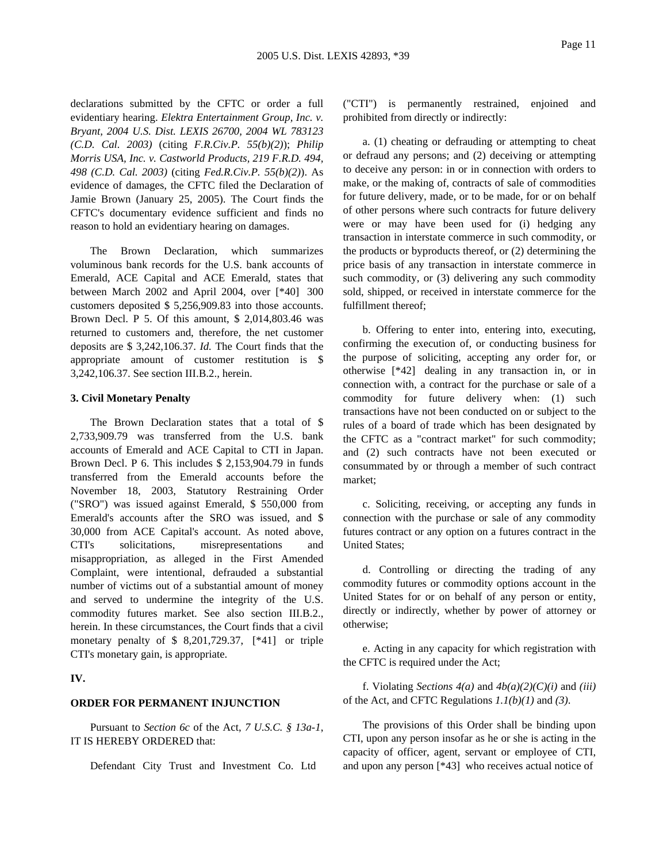declarations submitted by the CFTC or order a full evidentiary hearing. *Elektra Entertainment Group, Inc. v. Bryant, 2004 U.S. Dist. LEXIS 26700, 2004 WL 783123 (C.D. Cal. 2003)* (citing *F.R.Civ.P. 55(b)(2)*); *Philip Morris USA, Inc. v. Castworld Products, 219 F.R.D. 494, 498 (C.D. Cal. 2003)* (citing *Fed.R.Civ.P. 55(b)(2)*). As evidence of damages, the CFTC filed the Declaration of Jamie Brown (January 25, 2005). The Court finds the CFTC's documentary evidence sufficient and finds no reason to hold an evidentiary hearing on damages.

The Brown Declaration, which summarizes voluminous bank records for the U.S. bank accounts of Emerald, ACE Capital and ACE Emerald, states that between March 2002 and April 2004, over [\*40] 300 customers deposited \$ 5,256,909.83 into those accounts. Brown Decl. P 5. Of this amount, \$ 2,014,803.46 was returned to customers and, therefore, the net customer deposits are \$ 3,242,106.37. *Id.* The Court finds that the appropriate amount of customer restitution is \$ 3,242,106.37. See section III.B.2., herein.

#### **3. Civil Monetary Penalty**

The Brown Declaration states that a total of \$ 2,733,909.79 was transferred from the U.S. bank accounts of Emerald and ACE Capital to CTI in Japan. Brown Decl. P 6. This includes \$ 2,153,904.79 in funds transferred from the Emerald accounts before the November 18, 2003, Statutory Restraining Order ("SRO") was issued against Emerald, \$ 550,000 from Emerald's accounts after the SRO was issued, and \$ 30,000 from ACE Capital's account. As noted above, CTI's solicitations, misrepresentations and misappropriation, as alleged in the First Amended Complaint, were intentional, defrauded a substantial number of victims out of a substantial amount of money and served to undermine the integrity of the U.S. commodity futures market. See also section III.B.2., herein. In these circumstances, the Court finds that a civil monetary penalty of \$ 8,201,729.37, [\*41] or triple CTI's monetary gain, is appropriate.

# **IV.**

### **ORDER FOR PERMANENT INJUNCTION**

Pursuant to *Section 6c* of the Act, *7 U.S.C. § 13a-1*, IT IS HEREBY ORDERED that:

Defendant City Trust and Investment Co. Ltd

("CTI") is permanently restrained, enjoined and prohibited from directly or indirectly:

a. (1) cheating or defrauding or attempting to cheat or defraud any persons; and (2) deceiving or attempting to deceive any person: in or in connection with orders to make, or the making of, contracts of sale of commodities for future delivery, made, or to be made, for or on behalf of other persons where such contracts for future delivery were or may have been used for (i) hedging any transaction in interstate commerce in such commodity, or the products or byproducts thereof, or (2) determining the price basis of any transaction in interstate commerce in such commodity, or (3) delivering any such commodity sold, shipped, or received in interstate commerce for the fulfillment thereof;

b. Offering to enter into, entering into, executing, confirming the execution of, or conducting business for the purpose of soliciting, accepting any order for, or otherwise [\*42] dealing in any transaction in, or in connection with, a contract for the purchase or sale of a commodity for future delivery when: (1) such transactions have not been conducted on or subject to the rules of a board of trade which has been designated by the CFTC as a "contract market" for such commodity; and (2) such contracts have not been executed or consummated by or through a member of such contract market;

c. Soliciting, receiving, or accepting any funds in connection with the purchase or sale of any commodity futures contract or any option on a futures contract in the United States;

d. Controlling or directing the trading of any commodity futures or commodity options account in the United States for or on behalf of any person or entity, directly or indirectly, whether by power of attorney or otherwise;

e. Acting in any capacity for which registration with the CFTC is required under the Act;

f. Violating *Sections 4(a)* and *4b(a)(2)(C)(i)* and *(iii)* of the Act, and CFTC Regulations *1.1(b)(1)* and *(3)*.

The provisions of this Order shall be binding upon CTI, upon any person insofar as he or she is acting in the capacity of officer, agent, servant or employee of CTI, and upon any person [\*43] who receives actual notice of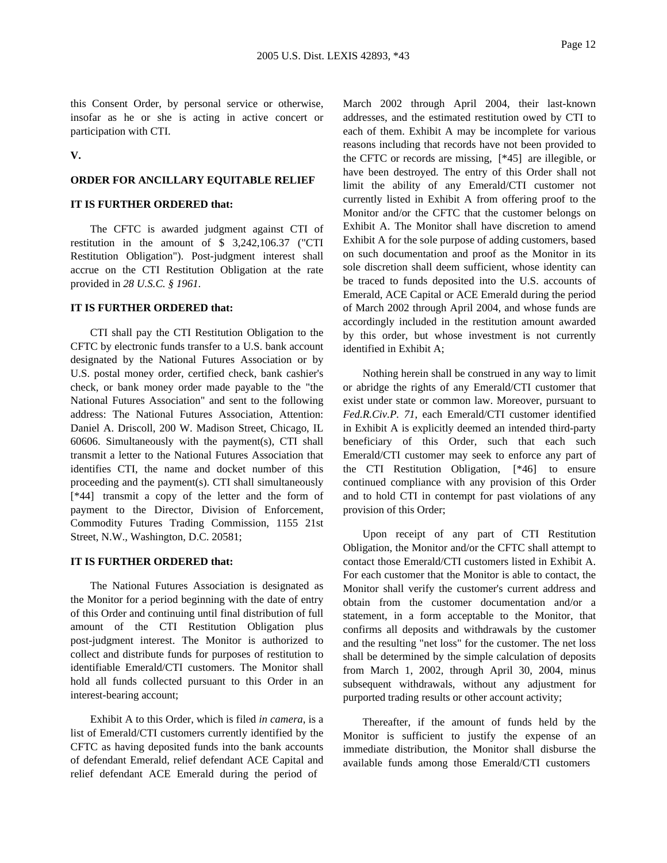this Consent Order, by personal service or otherwise, insofar as he or she is acting in active concert or participation with CTI.

**V.**

### **ORDER FOR ANCILLARY EQUITABLE RELIEF**

### **IT IS FURTHER ORDERED that:**

The CFTC is awarded judgment against CTI of restitution in the amount of \$ 3,242,106.37 ("CTI Restitution Obligation"). Post-judgment interest shall accrue on the CTI Restitution Obligation at the rate provided in *28 U.S.C. § 1961*.

#### **IT IS FURTHER ORDERED that:**

CTI shall pay the CTI Restitution Obligation to the CFTC by electronic funds transfer to a U.S. bank account designated by the National Futures Association or by U.S. postal money order, certified check, bank cashier's check, or bank money order made payable to the "the National Futures Association" and sent to the following address: The National Futures Association, Attention: Daniel A. Driscoll, 200 W. Madison Street, Chicago, IL 60606. Simultaneously with the payment(s), CTI shall transmit a letter to the National Futures Association that identifies CTI, the name and docket number of this proceeding and the payment(s). CTI shall simultaneously [\*44] transmit a copy of the letter and the form of payment to the Director, Division of Enforcement, Commodity Futures Trading Commission, 1155 21st Street, N.W., Washington, D.C. 20581;

#### **IT IS FURTHER ORDERED that:**

The National Futures Association is designated as the Monitor for a period beginning with the date of entry of this Order and continuing until final distribution of full amount of the CTI Restitution Obligation plus post-judgment interest. The Monitor is authorized to collect and distribute funds for purposes of restitution to identifiable Emerald/CTI customers. The Monitor shall hold all funds collected pursuant to this Order in an interest-bearing account;

Exhibit A to this Order, which is filed *in camera*, is a list of Emerald/CTI customers currently identified by the CFTC as having deposited funds into the bank accounts of defendant Emerald, relief defendant ACE Capital and relief defendant ACE Emerald during the period of

March 2002 through April 2004, their last-known addresses, and the estimated restitution owed by CTI to each of them. Exhibit A may be incomplete for various reasons including that records have not been provided to the CFTC or records are missing, [\*45] are illegible, or have been destroyed. The entry of this Order shall not limit the ability of any Emerald/CTI customer not currently listed in Exhibit A from offering proof to the Monitor and/or the CFTC that the customer belongs on Exhibit A. The Monitor shall have discretion to amend Exhibit A for the sole purpose of adding customers, based on such documentation and proof as the Monitor in its sole discretion shall deem sufficient, whose identity can be traced to funds deposited into the U.S. accounts of Emerald, ACE Capital or ACE Emerald during the period of March 2002 through April 2004, and whose funds are accordingly included in the restitution amount awarded by this order, but whose investment is not currently identified in Exhibit A;

Nothing herein shall be construed in any way to limit or abridge the rights of any Emerald/CTI customer that exist under state or common law. Moreover, pursuant to *Fed.R.Civ.P. 71*, each Emerald/CTI customer identified in Exhibit A is explicitly deemed an intended third-party beneficiary of this Order, such that each such Emerald/CTI customer may seek to enforce any part of the CTI Restitution Obligation, [\*46] to ensure continued compliance with any provision of this Order and to hold CTI in contempt for past violations of any provision of this Order;

Upon receipt of any part of CTI Restitution Obligation, the Monitor and/or the CFTC shall attempt to contact those Emerald/CTI customers listed in Exhibit A. For each customer that the Monitor is able to contact, the Monitor shall verify the customer's current address and obtain from the customer documentation and/or a statement, in a form acceptable to the Monitor, that confirms all deposits and withdrawals by the customer and the resulting "net loss" for the customer. The net loss shall be determined by the simple calculation of deposits from March 1, 2002, through April 30, 2004, minus subsequent withdrawals, without any adjustment for purported trading results or other account activity;

Thereafter, if the amount of funds held by the Monitor is sufficient to justify the expense of an immediate distribution, the Monitor shall disburse the available funds among those Emerald/CTI customers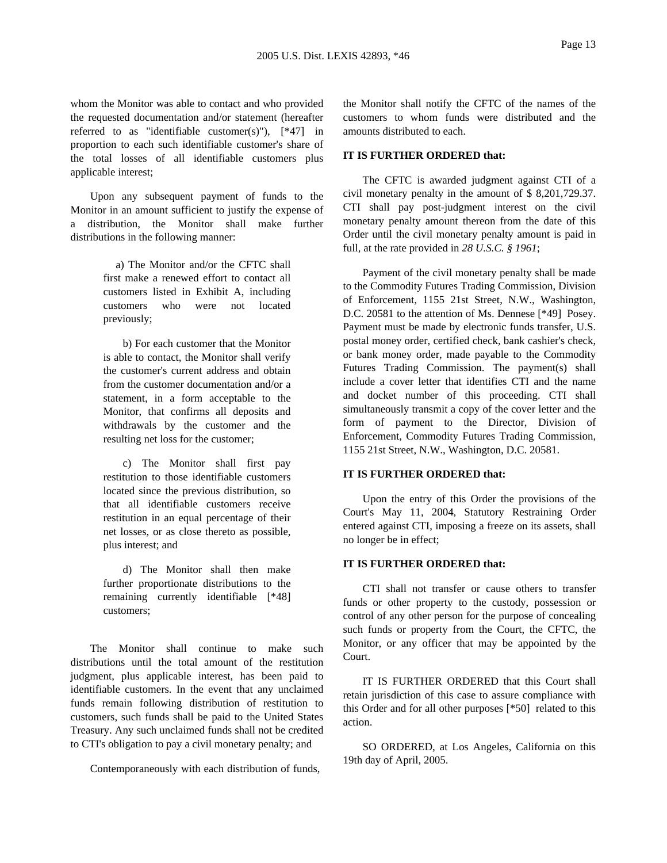whom the Monitor was able to contact and who provided the requested documentation and/or statement (hereafter referred to as "identifiable customer(s)"),  $[*47]$  in proportion to each such identifiable customer's share of the total losses of all identifiable customers plus applicable interest;

Upon any subsequent payment of funds to the Monitor in an amount sufficient to justify the expense of a distribution, the Monitor shall make further distributions in the following manner:

> a) The Monitor and/or the CFTC shall first make a renewed effort to contact all customers listed in Exhibit A, including customers who were not located previously;

> b) For each customer that the Monitor is able to contact, the Monitor shall verify the customer's current address and obtain from the customer documentation and/or a statement, in a form acceptable to the Monitor, that confirms all deposits and withdrawals by the customer and the resulting net loss for the customer;

> c) The Monitor shall first pay restitution to those identifiable customers located since the previous distribution, so that all identifiable customers receive restitution in an equal percentage of their net losses, or as close thereto as possible, plus interest; and

> d) The Monitor shall then make further proportionate distributions to the remaining currently identifiable [\*48] customers;

The Monitor shall continue to make such distributions until the total amount of the restitution judgment, plus applicable interest, has been paid to identifiable customers. In the event that any unclaimed funds remain following distribution of restitution to customers, such funds shall be paid to the United States Treasury. Any such unclaimed funds shall not be credited to CTI's obligation to pay a civil monetary penalty; and

Contemporaneously with each distribution of funds,

the Monitor shall notify the CFTC of the names of the customers to whom funds were distributed and the amounts distributed to each.

### **IT IS FURTHER ORDERED that:**

The CFTC is awarded judgment against CTI of a civil monetary penalty in the amount of \$ 8,201,729.37. CTI shall pay post-judgment interest on the civil monetary penalty amount thereon from the date of this Order until the civil monetary penalty amount is paid in full, at the rate provided in *28 U.S.C. § 1961*;

Payment of the civil monetary penalty shall be made to the Commodity Futures Trading Commission, Division of Enforcement, 1155 21st Street, N.W., Washington, D.C. 20581 to the attention of Ms. Dennese [\*49] Posey. Payment must be made by electronic funds transfer, U.S. postal money order, certified check, bank cashier's check, or bank money order, made payable to the Commodity Futures Trading Commission. The payment(s) shall include a cover letter that identifies CTI and the name and docket number of this proceeding. CTI shall simultaneously transmit a copy of the cover letter and the form of payment to the Director, Division of Enforcement, Commodity Futures Trading Commission, 1155 21st Street, N.W., Washington, D.C. 20581.

### **IT IS FURTHER ORDERED that:**

Upon the entry of this Order the provisions of the Court's May 11, 2004, Statutory Restraining Order entered against CTI, imposing a freeze on its assets, shall no longer be in effect;

### **IT IS FURTHER ORDERED that:**

CTI shall not transfer or cause others to transfer funds or other property to the custody, possession or control of any other person for the purpose of concealing such funds or property from the Court, the CFTC, the Monitor, or any officer that may be appointed by the Court.

IT IS FURTHER ORDERED that this Court shall retain jurisdiction of this case to assure compliance with this Order and for all other purposes [\*50] related to this action.

SO ORDERED, at Los Angeles, California on this 19th day of April, 2005.